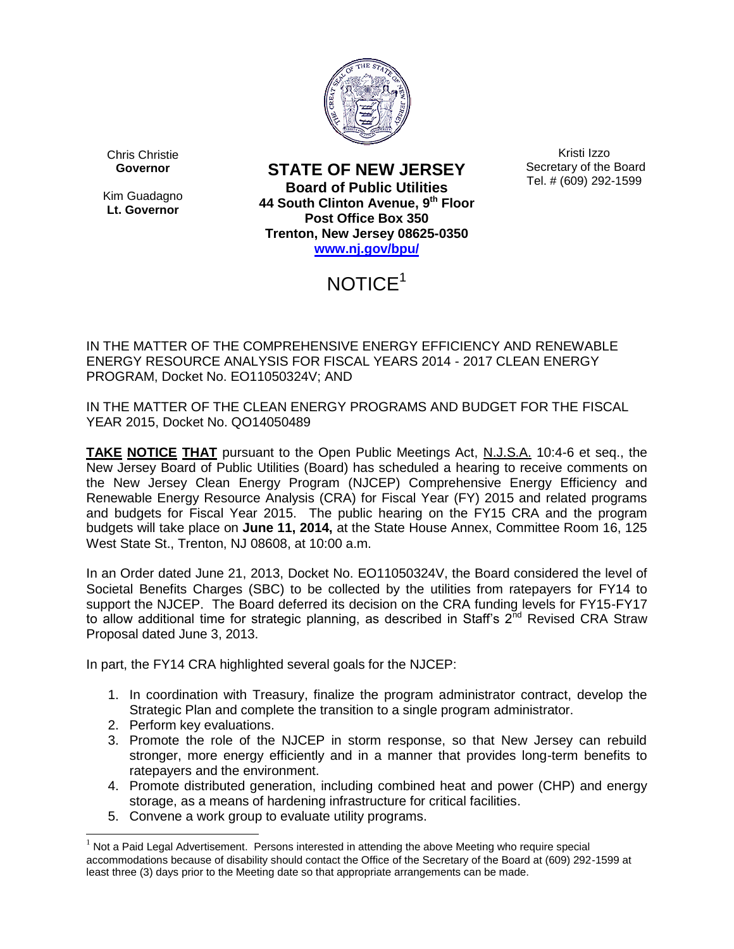

Chris Christie **Governor**

Kim Guadagno **Lt. Governor**

**STATE OF NEW JERSEY Board of Public Utilities 44 South Clinton Avenue, 9th Floor Post Office Box 350 Trenton, New Jersey 08625-0350 [www.nj.gov/bpu/](http://www.nj.gov/bpu/)**

Kristi Izzo Secretary of the Board Tel. # (609) 292-1599

## NOTICE<sup>1</sup>

IN THE MATTER OF THE COMPREHENSIVE ENERGY EFFICIENCY AND RENEWABLE ENERGY RESOURCE ANALYSIS FOR FISCAL YEARS 2014 - 2017 CLEAN ENERGY PROGRAM, Docket No. EO11050324V; AND

IN THE MATTER OF THE CLEAN ENERGY PROGRAMS AND BUDGET FOR THE FISCAL YEAR 2015, Docket No. QO14050489

**TAKE NOTICE THAT** pursuant to the Open Public Meetings Act, N.J.S.A. 10:4-6 et seq., the New Jersey Board of Public Utilities (Board) has scheduled a hearing to receive comments on the New Jersey Clean Energy Program (NJCEP) Comprehensive Energy Efficiency and Renewable Energy Resource Analysis (CRA) for Fiscal Year (FY) 2015 and related programs and budgets for Fiscal Year 2015. The public hearing on the FY15 CRA and the program budgets will take place on **June 11, 2014,** at the State House Annex, Committee Room 16, 125 West State St., Trenton, NJ 08608, at 10:00 a.m.

In an Order dated June 21, 2013, Docket No. EO11050324V, the Board considered the level of Societal Benefits Charges (SBC) to be collected by the utilities from ratepayers for FY14 to support the NJCEP. The Board deferred its decision on the CRA funding levels for FY15-FY17 to allow additional time for strategic planning, as described in Staff's  $2^{nd}$  Revised CRA Straw Proposal dated June 3, 2013.

In part, the FY14 CRA highlighted several goals for the NJCEP:

- 1. In coordination with Treasury, finalize the program administrator contract, develop the Strategic Plan and complete the transition to a single program administrator.
- 2. Perform key evaluations.

 $\overline{a}$ 

- 3. Promote the role of the NJCEP in storm response, so that New Jersey can rebuild stronger, more energy efficiently and in a manner that provides long-term benefits to ratepayers and the environment.
- 4. Promote distributed generation, including combined heat and power (CHP) and energy storage, as a means of hardening infrastructure for critical facilities.
- 5. Convene a work group to evaluate utility programs.

 $1$  Not a Paid Legal Advertisement. Persons interested in attending the above Meeting who require special accommodations because of disability should contact the Office of the Secretary of the Board at (609) 292-1599 at least three (3) days prior to the Meeting date so that appropriate arrangements can be made.